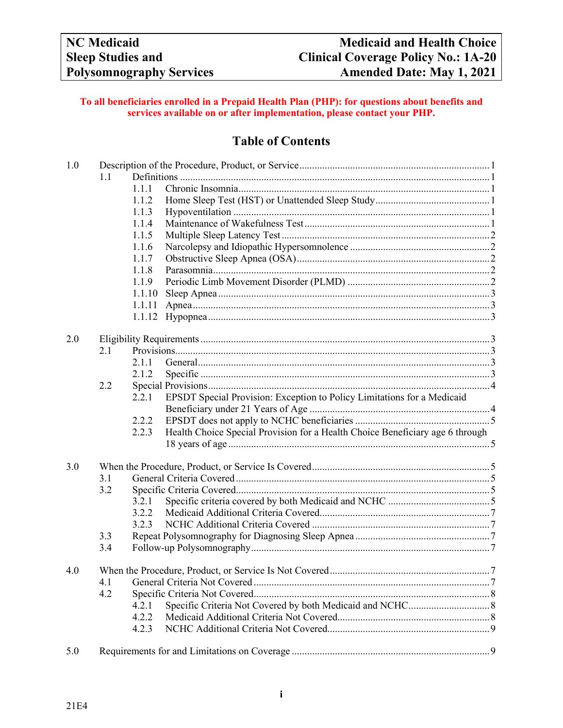# **To all beneficiaries enrolled in a Prepaid Health Plan (PHP): for questions about benefits and services available on or after implementation, please contact your PHP.**

# **Table of Contents**

| 1.0 |     |        |                                                                               |  |
|-----|-----|--------|-------------------------------------------------------------------------------|--|
|     | 1.1 |        |                                                                               |  |
|     |     | 1.1.1  |                                                                               |  |
|     |     | 1.1.2  |                                                                               |  |
|     |     | 1.1.3  |                                                                               |  |
|     |     | 1.1.4  |                                                                               |  |
|     |     | 1.1.5  |                                                                               |  |
|     |     | 1.1.6  |                                                                               |  |
|     |     | 1.1.7  |                                                                               |  |
|     |     | 1.1.8  |                                                                               |  |
|     |     | 1.1.9  |                                                                               |  |
|     |     | 1.1.10 |                                                                               |  |
|     |     | 1.1.11 |                                                                               |  |
|     |     | 1.1.12 |                                                                               |  |
|     |     |        |                                                                               |  |
| 2.0 |     |        |                                                                               |  |
|     | 2.1 |        |                                                                               |  |
|     |     | 2.1.1  |                                                                               |  |
|     |     | 2.1.2  |                                                                               |  |
|     | 2.2 |        |                                                                               |  |
|     |     | 2.2.1  | EPSDT Special Provision: Exception to Policy Limitations for a Medicaid       |  |
|     |     |        |                                                                               |  |
|     |     | 2.2.2  |                                                                               |  |
|     |     | 2.2.3  | Health Choice Special Provision for a Health Choice Beneficiary age 6 through |  |
|     |     |        |                                                                               |  |
|     |     |        |                                                                               |  |
| 3.0 |     |        |                                                                               |  |
|     | 3.1 |        |                                                                               |  |
|     | 3.2 |        |                                                                               |  |
|     |     | 3.2.1  |                                                                               |  |
|     |     | 3.2.2  |                                                                               |  |
|     |     | 3.2.3  |                                                                               |  |
|     | 3.3 |        |                                                                               |  |
|     | 3.4 |        |                                                                               |  |
|     |     |        |                                                                               |  |
| 4.0 |     |        |                                                                               |  |
|     | 4.1 |        |                                                                               |  |
|     | 4.2 |        |                                                                               |  |
|     |     | 4.2.1  |                                                                               |  |
|     |     | 4.2.2  |                                                                               |  |
|     |     | 4.2.3  |                                                                               |  |
|     |     |        |                                                                               |  |
| 5.0 |     |        |                                                                               |  |
|     |     |        |                                                                               |  |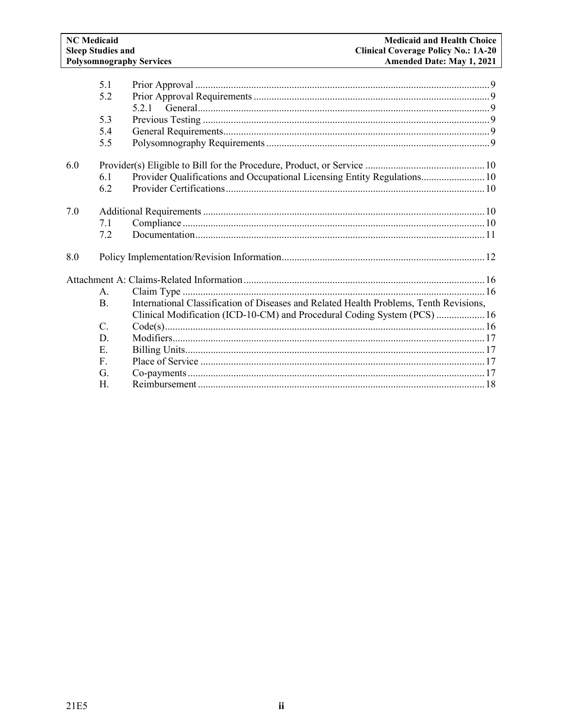|     | 5.1            |                                                                                        |  |
|-----|----------------|----------------------------------------------------------------------------------------|--|
|     | 5.2            |                                                                                        |  |
|     |                |                                                                                        |  |
|     | 5.3            |                                                                                        |  |
|     | 5.4            |                                                                                        |  |
|     | 5.5            |                                                                                        |  |
| 6.0 |                |                                                                                        |  |
|     | 6.1            | Provider Qualifications and Occupational Licensing Entity Regulations 10               |  |
|     | 6.2            |                                                                                        |  |
| 7.0 |                |                                                                                        |  |
|     | 7.1            |                                                                                        |  |
|     | 7.2            |                                                                                        |  |
| 8.0 |                |                                                                                        |  |
|     |                |                                                                                        |  |
|     | $\mathsf{A}$ . |                                                                                        |  |
|     | $\mathbf{B}$ . | International Classification of Diseases and Related Health Problems, Tenth Revisions, |  |
|     |                | Clinical Modification (ICD-10-CM) and Procedural Coding System (PCS)  16               |  |
|     | C.             |                                                                                        |  |
|     | D.             |                                                                                        |  |
|     | Ε.             |                                                                                        |  |
|     | $F_{\rm{L}}$   |                                                                                        |  |
|     | G.             |                                                                                        |  |
|     | H.             |                                                                                        |  |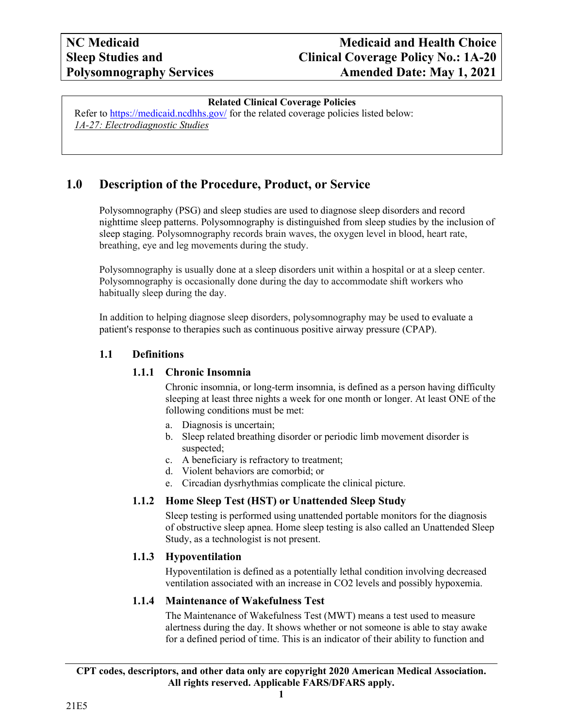# **Related Clinical Coverage Policies**

Refer to <https://medicaid.ncdhhs.gov/> for the related coverage policies listed below: *1A-27: Electrodiagnostic Studies*

# <span id="page-2-0"></span>**1.0 Description of the Procedure, Product, or Service**

Polysomnography (PSG) and sleep studies are used to diagnose sleep disorders and record nighttime sleep patterns. Polysomnography is distinguished from sleep studies by the inclusion of sleep staging. Polysomnography records brain waves, the oxygen level in blood, heart rate, breathing, eye and leg movements during the study.

Polysomnography is usually done at a sleep disorders unit within a hospital or at a sleep center. Polysomnography is occasionally done during the day to accommodate shift workers who habitually sleep during the day.

In addition to helping diagnose sleep disorders, polysomnography may be used to evaluate a patient's response to therapies such as continuous positive airway pressure (CPAP).

# <span id="page-2-2"></span><span id="page-2-1"></span>**1.1 Definitions**

# **1.1.1 Chronic Insomnia**

Chronic insomnia, or long-term insomnia, is defined as a person having difficulty sleeping at least three nights a week for one month or longer. At least ONE of the following conditions must be met:

- a. Diagnosis is uncertain;
- b. Sleep related breathing disorder or periodic limb movement disorder is suspected;
- c. A beneficiary is refractory to treatment;
- d. Violent behaviors are comorbid; or
- e. Circadian dysrhythmias complicate the clinical picture.

# <span id="page-2-3"></span>**1.1.2 Home Sleep Test (HST) or Unattended Sleep Study**

Sleep testing is performed using unattended portable monitors for the diagnosis of obstructive sleep apnea. Home sleep testing is also called an Unattended Sleep Study, as a technologist is not present.

# **1.1.3 Hypoventilation**

<span id="page-2-4"></span>Hypoventilation is defined as a potentially lethal condition involving decreased ventilation associated with an increase in CO2 levels and possibly hypoxemia.

# <span id="page-2-5"></span>**1.1.4 Maintenance of Wakefulness Test**

The Maintenance of Wakefulness Test (MWT) means a test used to measure alertness during the day. It shows whether or not someone is able to stay awake for a defined period of time. This is an indicator of their ability to function and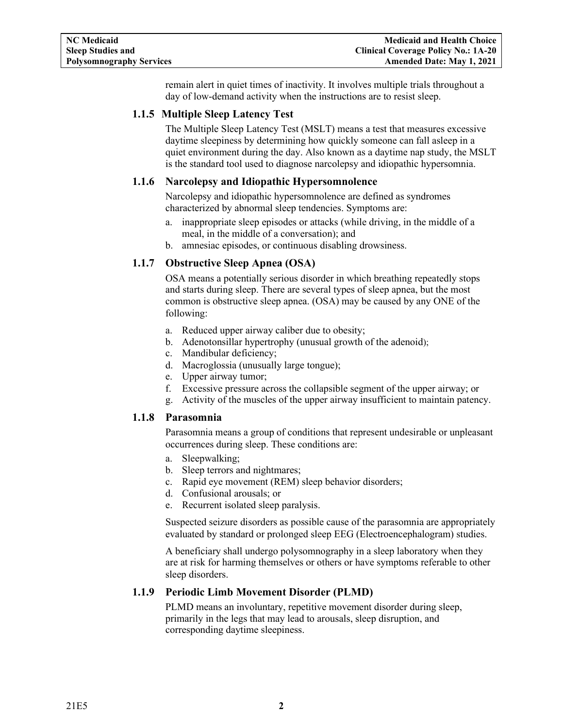remain alert in quiet times of inactivity. It involves multiple trials throughout a day of low-demand activity when the instructions are to resist sleep.

# <span id="page-3-0"></span>**1.1.5 Multiple Sleep Latency Test**

The Multiple Sleep Latency Test (MSLT) means a test that measures excessive daytime sleepiness by determining how quickly someone can fall asleep in a quiet environment during the day. Also known as a daytime nap study, the MSLT is the standard tool used to diagnose narcolepsy and idiopathic hypersomnia.

# <span id="page-3-1"></span>**1.1.6 Narcolepsy and Idiopathic Hypersomnolence**

Narcolepsy and idiopathic hypersomnolence are defined as syndromes characterized by abnormal sleep tendencies. Symptoms are:

- a. inappropriate sleep episodes or attacks (while driving, in the middle of a meal, in the middle of a conversation); and
- b. amnesiac episodes, or continuous disabling drowsiness.

# <span id="page-3-2"></span>**1.1.7 Obstructive Sleep Apnea (OSA)**

OSA means a potentially serious disorder in which breathing repeatedly stops and starts during sleep. There are several types of sleep apnea, but the most common is obstructive sleep apnea. (OSA) may be caused by any ONE of the following:

- a. Reduced upper airway caliber due to obesity;
- b. Adenotonsillar hypertrophy (unusual growth of the adenoid);
- c. Mandibular deficiency;
- d. Macroglossia (unusually large tongue);
- e. Upper airway tumor;
- f. Excessive pressure across the collapsible segment of the upper airway; or
- g. Activity of the muscles of the upper airway insufficient to maintain patency.

#### <span id="page-3-3"></span>**1.1.8 Parasomnia**

Parasomnia means a group of conditions that represent undesirable or unpleasant occurrences during sleep. These conditions are:

- a. Sleepwalking;
- b. Sleep terrors and nightmares;
- c. Rapid eye movement (REM) sleep behavior disorders;
- d. Confusional arousals; or
- e. Recurrent isolated sleep paralysis.

Suspected seizure disorders as possible cause of the parasomnia are appropriately evaluated by standard or prolonged sleep EEG (Electroencephalogram) studies.

A beneficiary shall undergo polysomnography in a sleep laboratory when they are at risk for harming themselves or others or have symptoms referable to other sleep disorders.

#### <span id="page-3-4"></span>**1.1.9 Periodic Limb Movement Disorder (PLMD)**

PLMD means an involuntary, repetitive movement disorder during sleep, primarily in the legs that may lead to arousals, sleep disruption, and corresponding daytime sleepiness.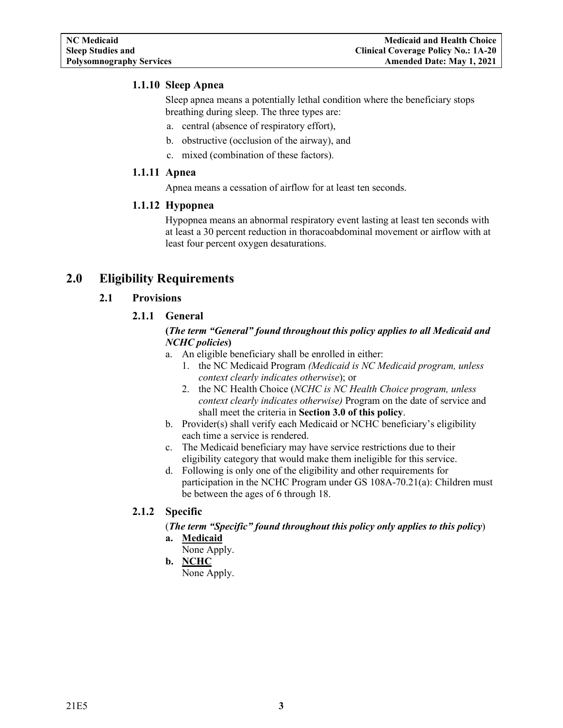#### <span id="page-4-0"></span>**1.1.10 Sleep Apnea**

Sleep apnea means a potentially lethal condition where the beneficiary stops breathing during sleep. The three types are:

- a. central (absence of respiratory effort),
- b. obstructive (occlusion of the airway), and
- c. mixed (combination of these factors).

#### <span id="page-4-1"></span>**1.1.11 Apnea**

Apnea means a cessation of airflow for at least ten seconds.

#### <span id="page-4-2"></span>**1.1.12 Hypopnea**

Hypopnea means an abnormal respiratory event lasting at least ten seconds with at least a 30 percent reduction in thoracoabdominal movement or airflow with at least four percent oxygen desaturations.

# <span id="page-4-5"></span><span id="page-4-4"></span><span id="page-4-3"></span>**2.0 Eligibility Requirements**

#### **2.1 Provisions**

# **2.1.1 General**

### **(***The term "General" found throughout this policy applies to all Medicaid and NCHC policies***)**

- a. An eligible beneficiary shall be enrolled in either:
	- 1. the NC Medicaid Program *(Medicaid is NC Medicaid program, unless context clearly indicates otherwise*); or
	- 2. the NC Health Choice (*NCHC is NC Health Choice program, unless context clearly indicates otherwise)* Program on the date of service and shall meet the criteria in **Section 3.0 of this policy**.
- b. Provider(s) shall verify each Medicaid or NCHC beneficiary's eligibility each time a service is rendered.
- c. The Medicaid beneficiary may have service restrictions due to their eligibility category that would make them ineligible for this service.
- d. Following is only one of the eligibility and other requirements for participation in the NCHC Program under GS 108A-70.21(a): Children must be between the ages of 6 through 18.

# <span id="page-4-6"></span>**2.1.2 Specific**

(*The term "Specific" found throughout this policy only applies to this policy*)

**a. Medicaid**

None Apply.

**b. NCHC** None Apply.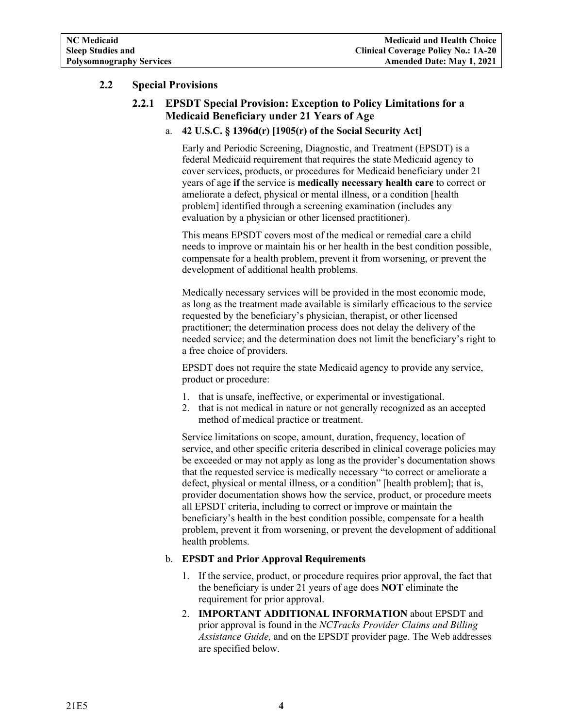# <span id="page-5-1"></span><span id="page-5-0"></span>**2.2 Special Provisions**

# **2.2.1 EPSDT Special Provision: Exception to Policy Limitations for a Medicaid Beneficiary under 21 Years of Age**

#### a. **42 U.S.C. § 1396d(r) [1905(r) of the Social Security Act]**

Early and Periodic Screening, Diagnostic, and Treatment (EPSDT) is a federal Medicaid requirement that requires the state Medicaid agency to cover services, products, or procedures for Medicaid beneficiary under 21 years of age **if** the service is **medically necessary health care** to correct or ameliorate a defect, physical or mental illness, or a condition [health problem] identified through a screening examination (includes any evaluation by a physician or other licensed practitioner).

This means EPSDT covers most of the medical or remedial care a child needs to improve or maintain his or her health in the best condition possible, compensate for a health problem, prevent it from worsening, or prevent the development of additional health problems.

Medically necessary services will be provided in the most economic mode, as long as the treatment made available is similarly efficacious to the service requested by the beneficiary's physician, therapist, or other licensed practitioner; the determination process does not delay the delivery of the needed service; and the determination does not limit the beneficiary's right to a free choice of providers.

EPSDT does not require the state Medicaid agency to provide any service, product or procedure:

- 1. that is unsafe, ineffective, or experimental or investigational.
- 2. that is not medical in nature or not generally recognized as an accepted method of medical practice or treatment.

Service limitations on scope, amount, duration, frequency, location of service, and other specific criteria described in clinical coverage policies may be exceeded or may not apply as long as the provider's documentation shows that the requested service is medically necessary "to correct or ameliorate a defect, physical or mental illness, or a condition" [health problem]; that is, provider documentation shows how the service, product, or procedure meets all EPSDT criteria, including to correct or improve or maintain the beneficiary's health in the best condition possible, compensate for a health problem, prevent it from worsening, or prevent the development of additional health problems.

#### b. **EPSDT and Prior Approval Requirements**

- 1. If the service, product, or procedure requires prior approval, the fact that the beneficiary is under 21 years of age does **NOT** eliminate the requirement for prior approval.
- 2. **IMPORTANT ADDITIONAL INFORMATION** about EPSDT and prior approval is found in the *NCTracks Provider Claims and Billing Assistance Guide,* and on the EPSDT provider page. The Web addresses are specified below.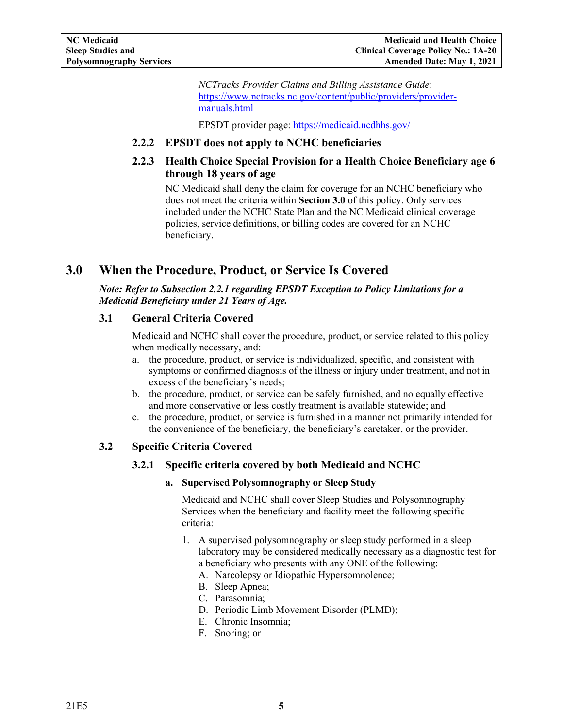*NCTracks Provider Claims and Billing Assistance Guide*: [https://www.nctracks.nc.gov/content/public/providers/provider](https://www.nctracks.nc.gov/content/public/providers/provider-manuals.html)[manuals.html](https://www.nctracks.nc.gov/content/public/providers/provider-manuals.html)

EPSDT provider page: <https://medicaid.ncdhhs.gov/>

### <span id="page-6-0"></span>**2.2.2 EPSDT does not apply to NCHC beneficiaries**

# <span id="page-6-1"></span>**2.2.3 Health Choice Special Provision for a Health Choice Beneficiary age 6 through 18 years of age**

NC Medicaid shall deny the claim for coverage for an NCHC beneficiary who does not meet the criteria within **Section 3.0** of this policy. Only services included under the NCHC State Plan and the NC Medicaid clinical coverage policies, service definitions, or billing codes are covered for an NCHC beneficiary.

# <span id="page-6-2"></span>**3.0 When the Procedure, Product, or Service Is Covered**

### *Note: Refer to Subsection 2.2.1 regarding EPSDT Exception to Policy Limitations for a Medicaid Beneficiary under 21 Years of Age.*

#### <span id="page-6-3"></span>**3.1 General Criteria Covered**

Medicaid and NCHC shall cover the procedure, product, or service related to this policy when medically necessary, and:

- a. the procedure, product, or service is individualized, specific, and consistent with symptoms or confirmed diagnosis of the illness or injury under treatment, and not in excess of the beneficiary's needs;
- b. the procedure, product, or service can be safely furnished, and no equally effective and more conservative or less costly treatment is available statewide; and
- c. the procedure, product, or service is furnished in a manner not primarily intended for the convenience of the beneficiary, the beneficiary's caretaker, or the provider.

# <span id="page-6-5"></span><span id="page-6-4"></span>**3.2 Specific Criteria Covered**

# **3.2.1 Specific criteria covered by both Medicaid and NCHC**

**a. Supervised Polysomnography or Sleep Study**

Medicaid and NCHC shall cover Sleep Studies and Polysomnography Services when the beneficiary and facility meet the following specific criteria:

- 1. A supervised polysomnography or sleep study performed in a sleep laboratory may be considered medically necessary as a diagnostic test for a beneficiary who presents with any ONE of the following:
	- A. Narcolepsy or Idiopathic Hypersomnolence;
	- B. Sleep Apnea;
	- C. Parasomnia;
	- D. Periodic Limb Movement Disorder (PLMD);
	- E. Chronic Insomnia;
	- F. Snoring; or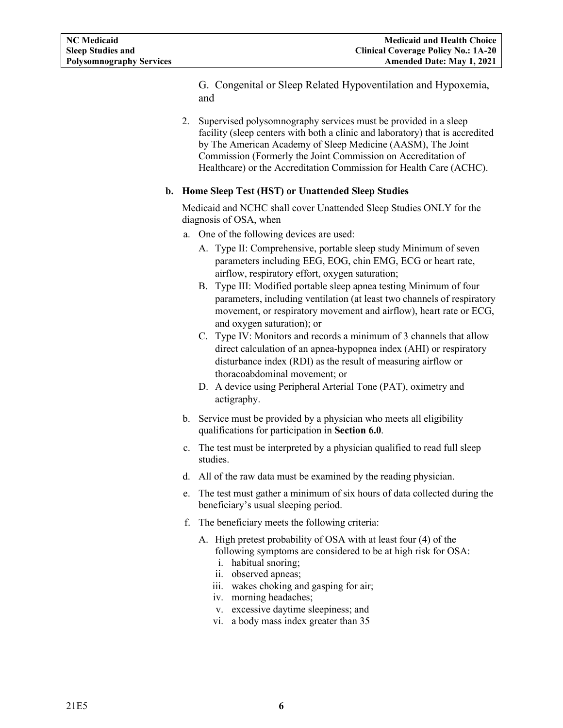G. Congenital or Sleep Related Hypoventilation and Hypoxemia, and

2. Supervised polysomnography services must be provided in a sleep facility (sleep centers with both a clinic and laboratory) that is accredited by The American Academy of Sleep Medicine (AASM), The Joint Commission (Formerly the Joint Commission on Accreditation of Healthcare) or the Accreditation Commission for Health Care (ACHC).

#### **b. Home Sleep Test (HST) or Unattended Sleep Studies**

Medicaid and NCHC shall cover Unattended Sleep Studies ONLY for the diagnosis of OSA, when

- a. One of the following devices are used:
	- A. Type II: Comprehensive, portable sleep study Minimum of seven parameters including EEG, EOG, chin EMG, ECG or heart rate, airflow, respiratory effort, oxygen saturation;
	- B. Type III: Modified portable sleep apnea testing Minimum of four parameters, including ventilation (at least two channels of respiratory movement, or respiratory movement and airflow), heart rate or ECG, and oxygen saturation); or
	- C. Type IV: Monitors and records a minimum of 3 channels that allow direct calculation of an apnea-hypopnea index (AHI) or respiratory disturbance index (RDI) as the result of measuring airflow or thoracoabdominal movement; or
	- D. A device using Peripheral Arterial Tone (PAT), oximetry and actigraphy.
- b. Service must be provided by a physician who meets all eligibility qualifications for participation in **Section 6.0**.
- c. The test must be interpreted by a physician qualified to read full sleep studies.
- d. All of the raw data must be examined by the reading physician.
- e. The test must gather a minimum of six hours of data collected during the beneficiary's usual sleeping period.
- f. The beneficiary meets the following criteria:
	- A. High pretest probability of OSA with at least four (4) of the following symptoms are considered to be at high risk for OSA:
		- i. habitual snoring;
		- ii. observed apneas;
		- iii. wakes choking and gasping for air;
		- iv. morning headaches;
		- v. excessive daytime sleepiness; and
		- vi. a body mass index greater than 35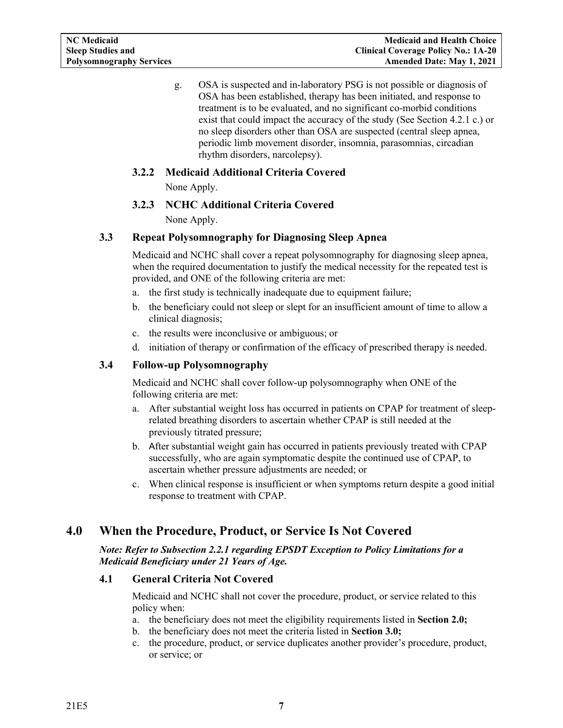g. OSA is suspected and in-laboratory PSG is not possible or diagnosis of OSA has been established, therapy has been initiated, and response to treatment is to be evaluated, and no significant co-morbid conditions exist that could impact the accuracy of the study (See Section 4.2.1 c.) or no sleep disorders other than OSA are suspected (central sleep apnea, periodic limb movement disorder, insomnia, parasomnias, circadian rhythm disorders, narcolepsy).

# <span id="page-8-0"></span>**3.2.2 Medicaid Additional Criteria Covered**

None Apply.

# **3.2.3 NCHC Additional Criteria Covered**

None Apply.

# <span id="page-8-2"></span><span id="page-8-1"></span>**3.3 Repeat Polysomnography for Diagnosing Sleep Apnea**

Medicaid and NCHC shall cover a repeat polysomnography for diagnosing sleep apnea, when the required documentation to justify the medical necessity for the repeated test is provided, and ONE of the following criteria are met:

- a. the first study is technically inadequate due to equipment failure;
- b. the beneficiary could not sleep or slept for an insufficient amount of time to allow a clinical diagnosis;
- c. the results were inconclusive or ambiguous; or
- d. initiation of therapy or confirmation of the efficacy of prescribed therapy is needed.

# <span id="page-8-3"></span>**3.4 Follow-up Polysomnography**

Medicaid and NCHC shall cover follow-up polysomnography when ONE of the following criteria are met:

- a. After substantial weight loss has occurred in patients on CPAP for treatment of sleeprelated breathing disorders to ascertain whether CPAP is still needed at the previously titrated pressure;
- b. After substantial weight gain has occurred in patients previously treated with CPAP successfully, who are again symptomatic despite the continued use of CPAP, to ascertain whether pressure adjustments are needed; or
- c. When clinical response is insufficient or when symptoms return despite a good initial response to treatment with CPAP.

# <span id="page-8-4"></span>**4.0 When the Procedure, Product, or Service Is Not Covered**

*Note: Refer to Subsection 2.2.1 regarding EPSDT Exception to Policy Limitations for a Medicaid Beneficiary under 21 Years of Age.*

# <span id="page-8-5"></span>**4.1 General Criteria Not Covered**

Medicaid and NCHC shall not cover the procedure, product, or service related to this policy when:

- a. the beneficiary does not meet the eligibility requirements listed in **Section 2.0;**
- b. the beneficiary does not meet the criteria listed in **Section 3.0;**
- c. the procedure, product, or service duplicates another provider's procedure, product, or service; or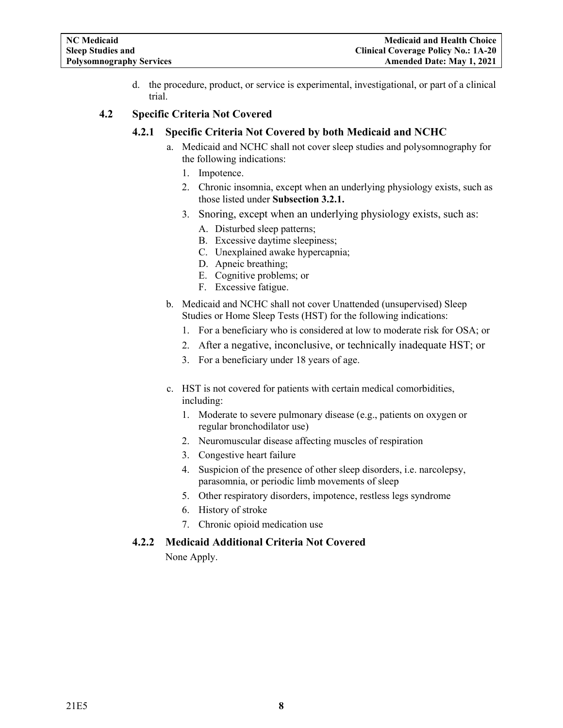d. the procedure, product, or service is experimental, investigational, or part of a clinical trial.

#### <span id="page-9-1"></span><span id="page-9-0"></span>**4.2 Specific Criteria Not Covered**

#### **4.2.1 Specific Criteria Not Covered by both Medicaid and NCHC**

- a. Medicaid and NCHC shall not cover sleep studies and polysomnography for the following indications:
	- 1. Impotence.
	- 2. Chronic insomnia, except when an underlying physiology exists, such as those listed under **Subsection 3.2.1.**
	- 3. Snoring, except when an underlying physiology exists, such as:
		- A. Disturbed sleep patterns;
		- B. Excessive daytime sleepiness;
		- C. Unexplained awake hypercapnia;
		- D. Apneic breathing;
		- E. Cognitive problems; or
		- F. Excessive fatigue.
- b. Medicaid and NCHC shall not cover Unattended (unsupervised) Sleep Studies or Home Sleep Tests (HST) for the following indications:
	- 1. For a beneficiary who is considered at low to moderate risk for OSA; or
	- 2. After a negative, inconclusive, or technically inadequate HST; or
	- 3. For a beneficiary under 18 years of age.
- c. HST is not covered for patients with certain medical comorbidities, including:
	- 1. Moderate to severe pulmonary disease (e.g., patients on oxygen or regular bronchodilator use)
	- 2. Neuromuscular disease affecting muscles of respiration
	- 3. Congestive heart failure
	- 4. Suspicion of the presence of other sleep disorders, i.e. narcolepsy, parasomnia, or periodic limb movements of sleep
	- 5. Other respiratory disorders, impotence, restless legs syndrome
	- 6. History of stroke
	- 7. Chronic opioid medication use

# <span id="page-9-2"></span>**4.2.2 Medicaid Additional Criteria Not Covered**

None Apply.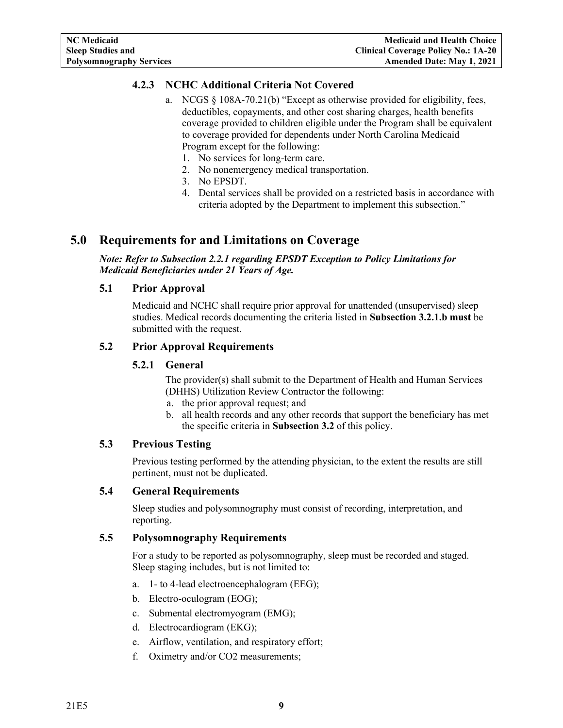# <span id="page-10-0"></span>**4.2.3 NCHC Additional Criteria Not Covered**

- a. NCGS § 108A-70.21(b) "Except as otherwise provided for eligibility, fees, deductibles, copayments, and other cost sharing charges, health benefits coverage provided to children eligible under the Program shall be equivalent to coverage provided for dependents under North Carolina Medicaid Program except for the following:
	- 1. No services for long-term care.
	- 2. No nonemergency medical transportation.
	- 3. No EPSDT.
	- 4. Dental services shall be provided on a restricted basis in accordance with criteria adopted by the Department to implement this subsection."

# <span id="page-10-1"></span>**5.0 Requirements for and Limitations on Coverage**

*Note: Refer to Subsection 2.2.1 regarding EPSDT Exception to Policy Limitations for Medicaid Beneficiaries under 21 Years of Age.*

#### <span id="page-10-2"></span>**5.1 Prior Approval**

Medicaid and NCHC shall require prior approval for unattended (unsupervised) sleep studies. Medical records documenting the criteria listed in **Subsection 3.2.1.b must** be submitted with the request.

#### <span id="page-10-4"></span><span id="page-10-3"></span>**5.2 Prior Approval Requirements**

#### **5.2.1 General**

The provider(s) shall submit to the Department of Health and Human Services (DHHS) Utilization Review Contractor the following:

- a. the prior approval request; and
- b. all health records and any other records that support the beneficiary has met the specific criteria in **Subsection 3.2** of this policy.

#### <span id="page-10-5"></span>**5.3 Previous Testing**

Previous testing performed by the attending physician, to the extent the results are still pertinent, must not be duplicated.

### <span id="page-10-6"></span>**5.4 General Requirements**

Sleep studies and polysomnography must consist of recording, interpretation, and reporting.

#### <span id="page-10-7"></span>**5.5 Polysomnography Requirements**

For a study to be reported as polysomnography, sleep must be recorded and staged. Sleep staging includes, but is not limited to:

- a. 1- to 4-lead electroencephalogram (EEG);
- b. Electro-oculogram (EOG);
- c. Submental electromyogram (EMG);
- d. Electrocardiogram (EKG);
- e. Airflow, ventilation, and respiratory effort;
- f. Oximetry and/or CO2 measurements;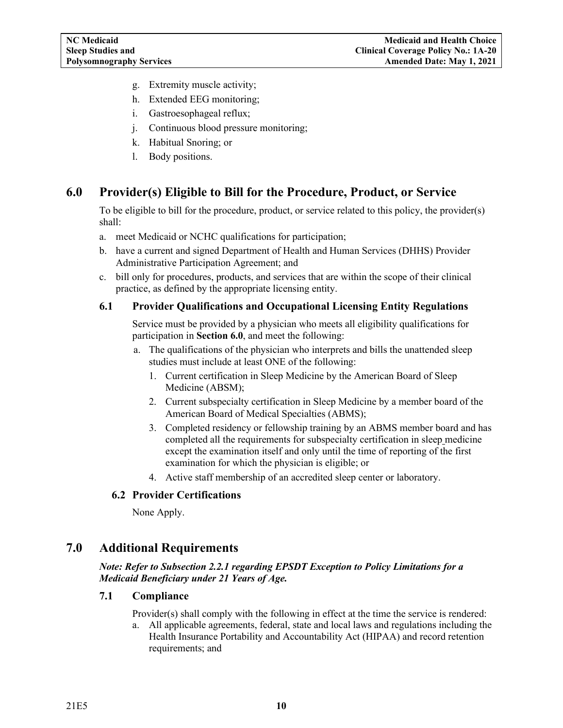- g. Extremity muscle activity;
- h. Extended EEG monitoring;
- i. Gastroesophageal reflux;
- j. Continuous blood pressure monitoring;
- k. Habitual Snoring; or
- l. Body positions.

# <span id="page-11-0"></span>**6.0 Provider(s) Eligible to Bill for the Procedure, Product, or Service**

To be eligible to bill for the procedure, product, or service related to this policy, the provider(s) shall:

- a. meet Medicaid or NCHC qualifications for participation;
- b. have a current and signed Department of Health and Human Services (DHHS) Provider Administrative Participation Agreement; and
- c. bill only for procedures, products, and services that are within the scope of their clinical practice, as defined by the appropriate licensing entity.

#### <span id="page-11-1"></span>**6.1 Provider Qualifications and Occupational Licensing Entity Regulations**

Service must be provided by a physician who meets all eligibility qualifications for participation in **Section 6.0**, and meet the following:

- a. The qualifications of the physician who interprets and bills the unattended sleep studies must include at least ONE of the following:
	- 1. Current certification in Sleep Medicine by the American Board of Sleep Medicine (ABSM);
	- 2. Current subspecialty certification in Sleep Medicine by a member board of the American Board of Medical Specialties (ABMS);
	- 3. Completed residency or fellowship training by an ABMS member board and has completed all the requirements for subspecialty certification in sleep medicine except the examination itself and only until the time of reporting of the first examination for which the physician is eligible; or
	- 4. Active staff membership of an accredited sleep center or laboratory.

#### <span id="page-11-2"></span>**6.2 Provider Certifications**

None Apply.

# <span id="page-11-3"></span>**7.0 Additional Requirements**

*Note: Refer to Subsection 2.2.1 regarding EPSDT Exception to Policy Limitations for a Medicaid Beneficiary under 21 Years of Age.*

#### <span id="page-11-4"></span>**7.1 Compliance**

Provider(s) shall comply with the following in effect at the time the service is rendered:

a. All applicable agreements, federal, state and local laws and regulations including the Health Insurance Portability and Accountability Act (HIPAA) and record retention requirements; and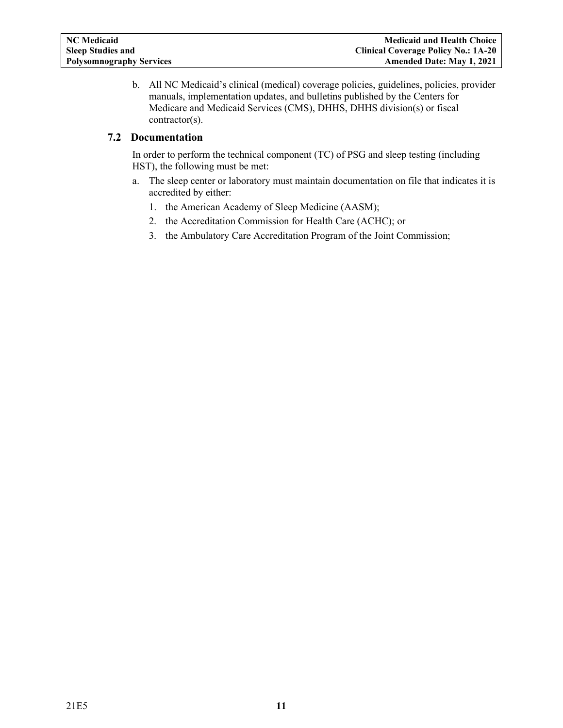b. All NC Medicaid's clinical (medical) coverage policies, guidelines, policies, provider manuals, implementation updates, and bulletins published by the Centers for Medicare and Medicaid Services (CMS), DHHS, DHHS division(s) or fiscal contractor(s).

# <span id="page-12-0"></span>**7.2 Documentation**

In order to perform the technical component (TC) of PSG and sleep testing (including HST), the following must be met:

- a. The sleep center or laboratory must maintain documentation on file that indicates it is accredited by either:
	- 1. the American Academy of Sleep Medicine (AASM);
	- 2. the Accreditation Commission for Health Care (ACHC); or
	- 3. the Ambulatory Care Accreditation Program of the Joint Commission;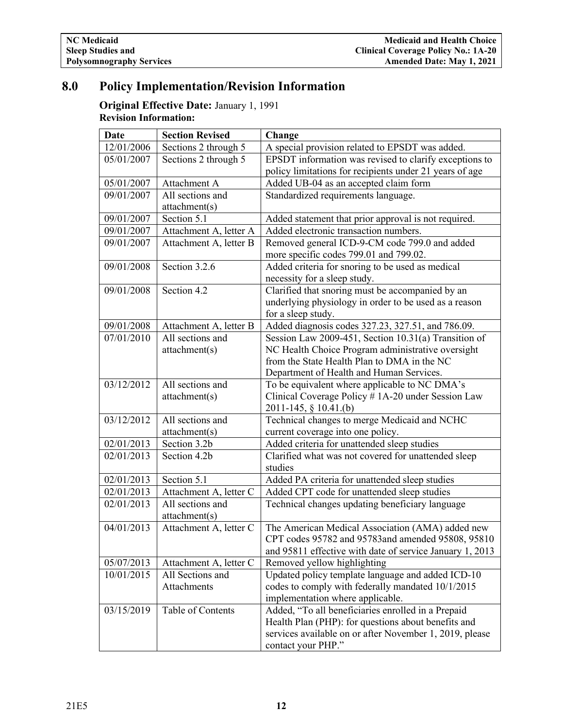# <span id="page-13-0"></span>**8.0 Policy Implementation/Revision Information**

# **Original Effective Date:** January 1, 1991 **Revision Information:**

| Date       | <b>Section Revised</b> | Change                                                   |
|------------|------------------------|----------------------------------------------------------|
| 12/01/2006 | Sections 2 through 5   | A special provision related to EPSDT was added.          |
| 05/01/2007 | Sections 2 through 5   | EPSDT information was revised to clarify exceptions to   |
|            |                        | policy limitations for recipients under 21 years of age  |
| 05/01/2007 | Attachment A           | Added UB-04 as an accepted claim form                    |
| 09/01/2007 | All sections and       | Standardized requirements language.                      |
|            | attachment(s)          |                                                          |
| 09/01/2007 | Section 5.1            | Added statement that prior approval is not required.     |
| 09/01/2007 | Attachment A, letter A | Added electronic transaction numbers.                    |
| 09/01/2007 | Attachment A, letter B | Removed general ICD-9-CM code 799.0 and added            |
|            |                        | more specific codes 799.01 and 799.02.                   |
| 09/01/2008 | Section 3.2.6          | Added criteria for snoring to be used as medical         |
|            |                        | necessity for a sleep study.                             |
| 09/01/2008 | Section 4.2            | Clarified that snoring must be accompanied by an         |
|            |                        | underlying physiology in order to be used as a reason    |
|            |                        | for a sleep study.                                       |
| 09/01/2008 | Attachment A, letter B | Added diagnosis codes 327.23, 327.51, and 786.09.        |
| 07/01/2010 | All sections and       | Session Law 2009-451, Section 10.31(a) Transition of     |
|            | attachment(s)          | NC Health Choice Program administrative oversight        |
|            |                        | from the State Health Plan to DMA in the NC              |
|            |                        | Department of Health and Human Services.                 |
| 03/12/2012 | All sections and       | To be equivalent where applicable to NC DMA's            |
|            | attachment(s)          | Clinical Coverage Policy # 1A-20 under Session Law       |
|            |                        | 2011-145, § 10.41.(b)                                    |
| 03/12/2012 | All sections and       | Technical changes to merge Medicaid and NCHC             |
|            | attachment(s)          | current coverage into one policy.                        |
| 02/01/2013 | Section 3.2b           | Added criteria for unattended sleep studies              |
| 02/01/2013 | Section 4.2b           | Clarified what was not covered for unattended sleep      |
|            |                        | studies                                                  |
| 02/01/2013 | Section 5.1            | Added PA criteria for unattended sleep studies           |
| 02/01/2013 | Attachment A, letter C | Added CPT code for unattended sleep studies              |
| 02/01/2013 | All sections and       | Technical changes updating beneficiary language          |
|            | attachment(s)          |                                                          |
| 04/01/2013 | Attachment A, letter C | The American Medical Association (AMA) added new         |
|            |                        | CPT codes 95782 and 95783and amended 95808, 95810        |
|            |                        | and 95811 effective with date of service January 1, 2013 |
| 05/07/2013 | Attachment A, letter C | Removed yellow highlighting                              |
| 10/01/2015 | All Sections and       | Updated policy template language and added ICD-10        |
|            | Attachments            | codes to comply with federally mandated 10/1/2015        |
|            |                        | implementation where applicable.                         |
| 03/15/2019 | Table of Contents      | Added, "To all beneficiaries enrolled in a Prepaid       |
|            |                        | Health Plan (PHP): for questions about benefits and      |
|            |                        | services available on or after November 1, 2019, please  |
|            |                        | contact your PHP."                                       |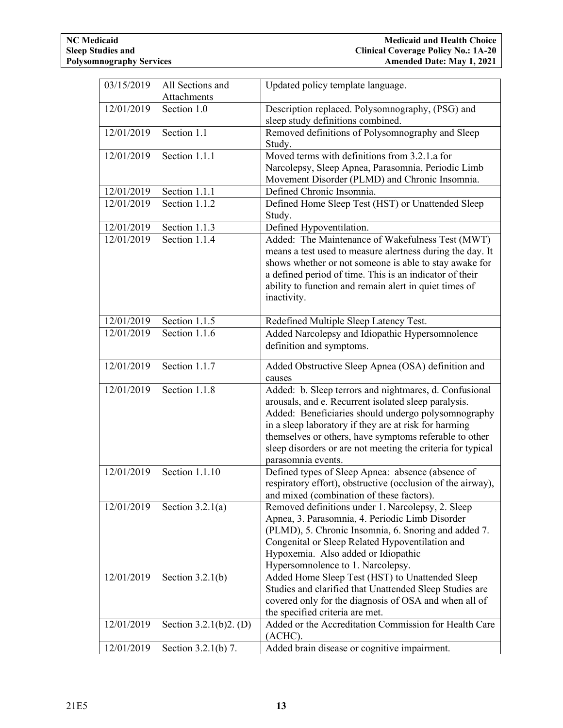| 03/15/2019               | All Sections and               | Updated policy template language.                                        |
|--------------------------|--------------------------------|--------------------------------------------------------------------------|
|                          | Attachments                    |                                                                          |
| 12/01/2019               | Section 1.0                    | Description replaced. Polysomnography, (PSG) and                         |
|                          |                                | sleep study definitions combined.                                        |
| 12/01/2019               | Section 1.1                    | Removed definitions of Polysomnography and Sleep                         |
|                          |                                | Study.                                                                   |
| 12/01/2019               | Section 1.1.1                  | Moved terms with definitions from 3.2.1.a for                            |
|                          |                                | Narcolepsy, Sleep Apnea, Parasomnia, Periodic Limb                       |
|                          |                                | Movement Disorder (PLMD) and Chronic Insomnia.                           |
| 12/01/2019               | Section 1.1.1                  | Defined Chronic Insomnia.                                                |
| 12/01/2019               | Section 1.1.2                  | Defined Home Sleep Test (HST) or Unattended Sleep                        |
|                          |                                | Study.                                                                   |
| 12/01/2019               | Section 1.1.3                  | Defined Hypoventilation.                                                 |
| 12/01/2019               | Section 1.1.4                  | Added: The Maintenance of Wakefulness Test (MWT)                         |
|                          |                                | means a test used to measure alertness during the day. It                |
|                          |                                | shows whether or not someone is able to stay awake for                   |
|                          |                                | a defined period of time. This is an indicator of their                  |
|                          |                                | ability to function and remain alert in quiet times of                   |
|                          |                                | inactivity.                                                              |
|                          |                                |                                                                          |
| 12/01/2019<br>12/01/2019 | Section 1.1.5<br>Section 1.1.6 | Redefined Multiple Sleep Latency Test.                                   |
|                          |                                | Added Narcolepsy and Idiopathic Hypersomnolence                          |
|                          |                                | definition and symptoms.                                                 |
| 12/01/2019               | Section 1.1.7                  | Added Obstructive Sleep Apnea (OSA) definition and                       |
|                          |                                | causes                                                                   |
| 12/01/2019               | Section 1.1.8                  | Added: b. Sleep terrors and nightmares, d. Confusional                   |
|                          |                                | arousals, and e. Recurrent isolated sleep paralysis.                     |
|                          |                                | Added: Beneficiaries should undergo polysomnography                      |
|                          |                                | in a sleep laboratory if they are at risk for harming                    |
|                          |                                | themselves or others, have symptoms referable to other                   |
|                          |                                | sleep disorders or are not meeting the criteria for typical              |
|                          |                                | parasomnia events.                                                       |
| 12/01/2019               | Section 1.1.10                 | Defined types of Sleep Apnea: absence (absence of                        |
|                          |                                | respiratory effort), obstructive (occlusion of the airway),              |
|                          |                                | and mixed (combination of these factors).                                |
| 12/01/2019               | Section $3.2.1(a)$             | Removed definitions under 1. Narcolepsy, 2. Sleep                        |
|                          |                                | Apnea, 3. Parasomnia, 4. Periodic Limb Disorder                          |
|                          |                                | (PLMD), 5. Chronic Insomnia, 6. Snoring and added 7.                     |
|                          |                                | Congenital or Sleep Related Hypoventilation and                          |
|                          |                                | Hypoxemia. Also added or Idiopathic<br>Hypersomnolence to 1. Narcolepsy. |
| 12/01/2019               | Section $3.2.1(b)$             | Added Home Sleep Test (HST) to Unattended Sleep                          |
|                          |                                | Studies and clarified that Unattended Sleep Studies are                  |
|                          |                                | covered only for the diagnosis of OSA and when all of                    |
|                          |                                | the specified criteria are met.                                          |
| 12/01/2019               | Section 3.2.1(b)2. (D)         | Added or the Accreditation Commission for Health Care                    |
|                          |                                | (ACHC).                                                                  |
| 12/01/2019               | Section 3.2.1(b) 7.            | Added brain disease or cognitive impairment.                             |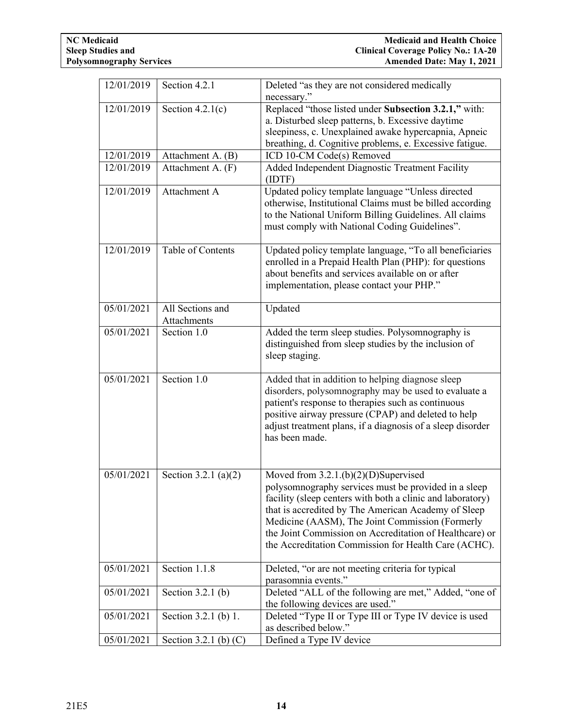| 12/01/2019 | Section 4.2.1                   | Deleted "as they are not considered medically                                                                                                                                                                                                                                                                                                                                             |
|------------|---------------------------------|-------------------------------------------------------------------------------------------------------------------------------------------------------------------------------------------------------------------------------------------------------------------------------------------------------------------------------------------------------------------------------------------|
|            |                                 | necessary."                                                                                                                                                                                                                                                                                                                                                                               |
| 12/01/2019 | Section $4.2.1(c)$              | Replaced "those listed under Subsection 3.2.1," with:                                                                                                                                                                                                                                                                                                                                     |
|            |                                 | a. Disturbed sleep patterns, b. Excessive daytime                                                                                                                                                                                                                                                                                                                                         |
|            |                                 | sleepiness, c. Unexplained awake hypercapnia, Apneic                                                                                                                                                                                                                                                                                                                                      |
|            |                                 | breathing, d. Cognitive problems, e. Excessive fatigue.                                                                                                                                                                                                                                                                                                                                   |
| 12/01/2019 | Attachment A. (B)               | ICD 10-CM Code(s) Removed                                                                                                                                                                                                                                                                                                                                                                 |
| 12/01/2019 | Attachment A. (F)               | Added Independent Diagnostic Treatment Facility<br>(IDTF)                                                                                                                                                                                                                                                                                                                                 |
| 12/01/2019 | Attachment A                    | Updated policy template language "Unless directed<br>otherwise, Institutional Claims must be billed according<br>to the National Uniform Billing Guidelines. All claims<br>must comply with National Coding Guidelines".                                                                                                                                                                  |
| 12/01/2019 | Table of Contents               | Updated policy template language, "To all beneficiaries<br>enrolled in a Prepaid Health Plan (PHP): for questions<br>about benefits and services available on or after<br>implementation, please contact your PHP."                                                                                                                                                                       |
| 05/01/2021 | All Sections and<br>Attachments | Updated                                                                                                                                                                                                                                                                                                                                                                                   |
| 05/01/2021 | Section 1.0                     | Added the term sleep studies. Polysomnography is<br>distinguished from sleep studies by the inclusion of<br>sleep staging.                                                                                                                                                                                                                                                                |
| 05/01/2021 | Section 1.0                     | Added that in addition to helping diagnose sleep<br>disorders, polysomnography may be used to evaluate a<br>patient's response to therapies such as continuous<br>positive airway pressure (CPAP) and deleted to help<br>adjust treatment plans, if a diagnosis of a sleep disorder<br>has been made.                                                                                     |
| 05/01/2021 | Section 3.2.1 (a)(2)            | Moved from $3.2.1(b)(2)(D)$ Supervised<br>polysomnography services must be provided in a sleep<br>facility (sleep centers with both a clinic and laboratory)<br>that is accredited by The American Academy of Sleep<br>Medicine (AASM), The Joint Commission (Formerly<br>the Joint Commission on Accreditation of Healthcare) or<br>the Accreditation Commission for Health Care (ACHC). |
| 05/01/2021 | Section 1.1.8                   | Deleted, "or are not meeting criteria for typical<br>parasomnia events."                                                                                                                                                                                                                                                                                                                  |
| 05/01/2021 | Section $3.2.1$ (b)             | Deleted "ALL of the following are met," Added, "one of<br>the following devices are used."                                                                                                                                                                                                                                                                                                |
| 05/01/2021 | Section 3.2.1 (b) 1.            | Deleted "Type II or Type III or Type IV device is used<br>as described below."                                                                                                                                                                                                                                                                                                            |
| 05/01/2021 | Section 3.2.1 (b) $(C)$         | Defined a Type IV device                                                                                                                                                                                                                                                                                                                                                                  |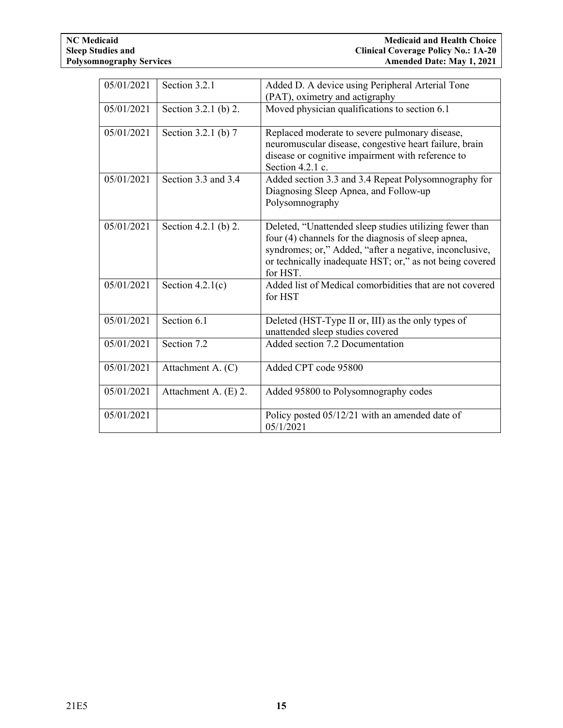| 05/01/2021 | Section 3.2.1        | Added D. A device using Peripheral Arterial Tone         |
|------------|----------------------|----------------------------------------------------------|
|            |                      | (PAT), oximetry and actigraphy                           |
| 05/01/2021 | Section 3.2.1 (b) 2. | Moved physician qualifications to section 6.1            |
|            |                      |                                                          |
| 05/01/2021 | Section 3.2.1 (b) 7  | Replaced moderate to severe pulmonary disease,           |
|            |                      | neuromuscular disease, congestive heart failure, brain   |
|            |                      | disease or cognitive impairment with reference to        |
|            |                      | Section 4.2.1 c.                                         |
| 05/01/2021 | Section 3.3 and 3.4  | Added section 3.3 and 3.4 Repeat Polysomnography for     |
|            |                      | Diagnosing Sleep Apnea, and Follow-up                    |
|            |                      | Polysomnography                                          |
|            |                      |                                                          |
| 05/01/2021 | Section 4.2.1 (b) 2. | Deleted, "Unattended sleep studies utilizing fewer than  |
|            |                      | four (4) channels for the diagnosis of sleep apnea,      |
|            |                      | syndromes; or," Added, "after a negative, inconclusive,  |
|            |                      | or technically inadequate HST; or," as not being covered |
|            |                      | for HST.                                                 |
| 05/01/2021 | Section $4.2.1(c)$   | Added list of Medical comorbidities that are not covered |
|            |                      | for HST                                                  |
|            |                      |                                                          |
| 05/01/2021 | Section 6.1          | Deleted (HST-Type II or, III) as the only types of       |
|            |                      | unattended sleep studies covered                         |
| 05/01/2021 | Section 7.2          | Added section 7.2 Documentation                          |
|            |                      |                                                          |
| 05/01/2021 | Attachment A. (C)    | Added CPT code 95800                                     |
|            |                      |                                                          |
| 05/01/2021 | Attachment A. (E) 2. | Added 95800 to Polysomnography codes                     |
|            |                      |                                                          |
| 05/01/2021 |                      | Policy posted 05/12/21 with an amended date of           |
|            |                      | 05/1/2021                                                |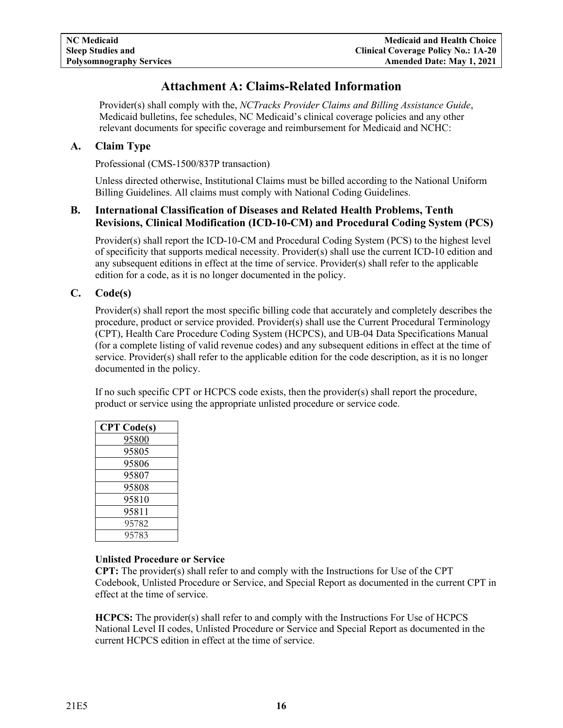# **Attachment A: Claims-Related Information**

<span id="page-17-0"></span>Provider(s) shall comply with the, *NCTracks Provider Claims and Billing Assistance Guide*, Medicaid bulletins, fee schedules, NC Medicaid's clinical coverage policies and any other relevant documents for specific coverage and reimbursement for Medicaid and NCHC:

# <span id="page-17-1"></span>**A. Claim Type**

Professional (CMS-1500/837P transaction)

Unless directed otherwise, Institutional Claims must be billed according to the National Uniform Billing Guidelines. All claims must comply with National Coding Guidelines.

# <span id="page-17-2"></span>**B. International Classification of Diseases and Related Health Problems, Tenth Revisions, Clinical Modification (ICD-10-CM) and Procedural Coding System (PCS)**

Provider(s) shall report the ICD-10-CM and Procedural Coding System (PCS) to the highest level of specificity that supports medical necessity. Provider(s) shall use the current ICD-10 edition and any subsequent editions in effect at the time of service. Provider(s) shall refer to the applicable edition for a code, as it is no longer documented in the policy.

# <span id="page-17-3"></span>**C. Code(s)**

Provider(s) shall report the most specific billing code that accurately and completely describes the procedure, product or service provided. Provider(s) shall use the Current Procedural Terminology (CPT), Health Care Procedure Coding System (HCPCS), and UB-04 Data Specifications Manual (for a complete listing of valid revenue codes) and any subsequent editions in effect at the time of service. Provider(s) shall refer to the applicable edition for the code description, as it is no longer documented in the policy.

If no such specific CPT or HCPCS code exists, then the provider(s) shall report the procedure, product or service using the appropriate unlisted procedure or service code.

| <b>CPT</b> Code(s) |
|--------------------|
| 95800              |
| 95805              |
| 95806              |
| 95807              |
| 95808              |
| 95810              |
| 95811              |
| 95782              |
| 95783              |

# **Unlisted Procedure or Service**

**CPT:** The provider(s) shall refer to and comply with the Instructions for Use of the CPT Codebook, Unlisted Procedure or Service, and Special Report as documented in the current CPT in effect at the time of service.

**HCPCS:** The provider(s) shall refer to and comply with the Instructions For Use of HCPCS National Level II codes, Unlisted Procedure or Service and Special Report as documented in the current HCPCS edition in effect at the time of service.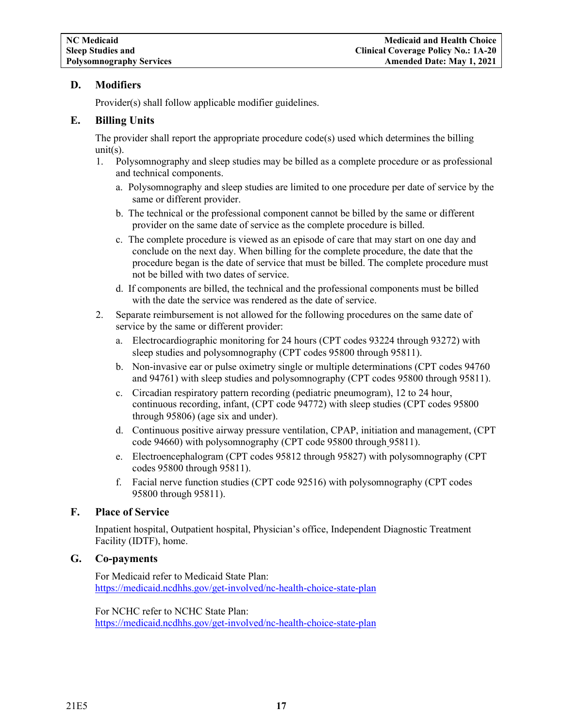# <span id="page-18-0"></span>**D. Modifiers**

Provider(s) shall follow applicable modifier guidelines.

# <span id="page-18-1"></span>**E. Billing Units**

The provider shall report the appropriate procedure code(s) used which determines the billing unit $(s)$ .

- 1. Polysomnography and sleep studies may be billed as a complete procedure or as professional and technical components.
	- a. Polysomnography and sleep studies are limited to one procedure per date of service by the same or different provider.
	- b. The technical or the professional component cannot be billed by the same or different provider on the same date of service as the complete procedure is billed.
	- c. The complete procedure is viewed as an episode of care that may start on one day and conclude on the next day. When billing for the complete procedure, the date that the procedure began is the date of service that must be billed. The complete procedure must not be billed with two dates of service.
	- d. If components are billed, the technical and the professional components must be billed with the date the service was rendered as the date of service.
- 2. Separate reimbursement is not allowed for the following procedures on the same date of service by the same or different provider:
	- a. Electrocardiographic monitoring for 24 hours (CPT codes 93224 through 93272) with sleep studies and polysomnography (CPT codes 95800 through 95811).
	- b. Non-invasive ear or pulse oximetry single or multiple determinations (CPT codes 94760 and 94761) with sleep studies and polysomnography (CPT codes 95800 through 95811).
	- c. Circadian respiratory pattern recording (pediatric pneumogram), 12 to 24 hour, continuous recording, infant, (CPT code 94772) with sleep studies (CPT codes 95800 through 95806) (age six and under).
	- d. Continuous positive airway pressure ventilation, CPAP, initiation and management, (CPT code 94660) with polysomnography (CPT code 95800 through 95811).
	- e. Electroencephalogram (CPT codes 95812 through 95827) with polysomnography (CPT codes 95800 through 95811).
	- f. Facial nerve function studies (CPT code 92516) with polysomnography (CPT codes 95800 through 95811).

# <span id="page-18-2"></span>**F. Place of Service**

Inpatient hospital, Outpatient hospital, Physician's office, Independent Diagnostic Treatment Facility (IDTF), home.

# <span id="page-18-3"></span>**G. Co-payments**

For Medicaid refer to Medicaid State Plan: <https://medicaid.ncdhhs.gov/get-involved/nc-health-choice-state-plan>

For NCHC refer to NCHC State Plan: <https://medicaid.ncdhhs.gov/get-involved/nc-health-choice-state-plan>